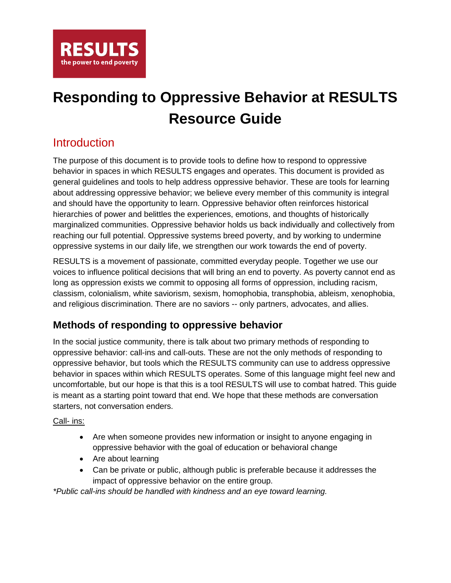

## **Responding to Oppressive Behavior at RESULTS Resource Guide**

## **Introduction**

The purpose of this document is to provide tools to define how to respond to oppressive behavior in spaces in which RESULTS engages and operates. This document is provided as general guidelines and tools to help address oppressive behavior. These are tools for learning about addressing oppressive behavior; we believe every member of this community is integral and should have the opportunity to learn. Oppressive behavior often reinforces historical hierarchies of power and belittles the experiences, emotions, and thoughts of historically marginalized communities. Oppressive behavior holds us back individually and collectively from reaching our full potential. Oppressive systems breed poverty, and by working to undermine oppressive systems in our daily life, we strengthen our work towards the end of poverty.

RESULTS is a movement of passionate, committed everyday people. Together we use our voices to influence political decisions that will bring an end to poverty. As poverty cannot end as long as oppression exists we commit to opposing all forms of oppression, including racism, classism, colonialism, white saviorism, sexism, homophobia, transphobia, ableism, xenophobia, and religious discrimination. There are no saviors -- only partners, advocates, and allies.

### **Methods of responding to oppressive behavior**

In the social justice community, there is talk about two primary methods of responding to oppressive behavior: call-ins and call-outs. These are not the only methods of responding to oppressive behavior, but tools which the RESULTS community can use to address oppressive behavior in spaces within which RESULTS operates. Some of this language might feel new and uncomfortable, but our hope is that this is a tool RESULTS will use to combat hatred. This guide is meant as a starting point toward that end. We hope that these methods are conversation starters, not conversation enders.

#### Call- ins:

- Are when someone provides new information or insight to anyone engaging in oppressive behavior with the goal of education or behavioral change
- Are about learning
- Can be private or public, although public is preferable because it addresses the impact of oppressive behavior on the entire group.

*\*Public call-ins should be handled with kindness and an eye toward learning.*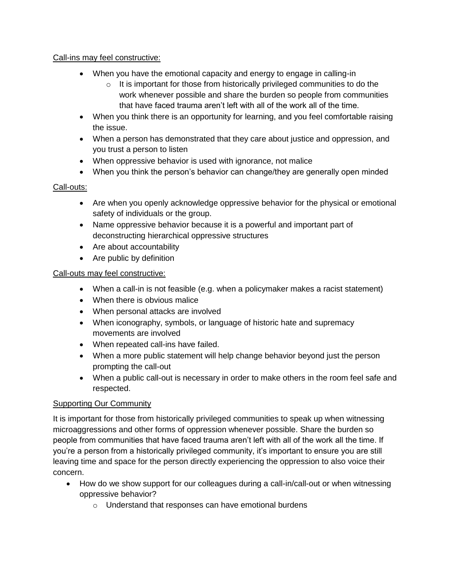#### Call-ins may feel constructive:

- When you have the emotional capacity and energy to engage in calling-in
	- $\circ$  It is important for those from historically privileged communities to do the work whenever possible and share the burden so people from communities that have faced trauma aren't left with all of the work all of the time.
- When you think there is an opportunity for learning, and you feel comfortable raising the issue.
- When a person has demonstrated that they care about justice and oppression, and you trust a person to listen
- When oppressive behavior is used with ignorance, not malice
- When you think the person's behavior can change/they are generally open minded

#### Call-outs:

- Are when you openly acknowledge oppressive behavior for the physical or emotional safety of individuals or the group.
- Name oppressive behavior because it is a powerful and important part of deconstructing hierarchical oppressive structures
- Are about accountability
- Are public by definition

#### Call-outs may feel constructive:

- When a call-in is not feasible (e.g. when a policymaker makes a racist statement)
- When there is obvious malice
- When personal attacks are involved
- When iconography, symbols, or language of historic hate and supremacy movements are involved
- When repeated call-ins have failed.
- When a more public statement will help change behavior beyond just the person prompting the call-out
- When a public call-out is necessary in order to make others in the room feel safe and respected.

#### Supporting Our Community

It is important for those from historically privileged communities to speak up when witnessing microaggressions and other forms of oppression whenever possible. Share the burden so people from communities that have faced trauma aren't left with all of the work all the time. If you're a person from a historically privileged community, it's important to ensure you are still leaving time and space for the person directly experiencing the oppression to also voice their concern.

- How do we show support for our colleagues during a call-in/call-out or when witnessing oppressive behavior?
	- o Understand that responses can have emotional burdens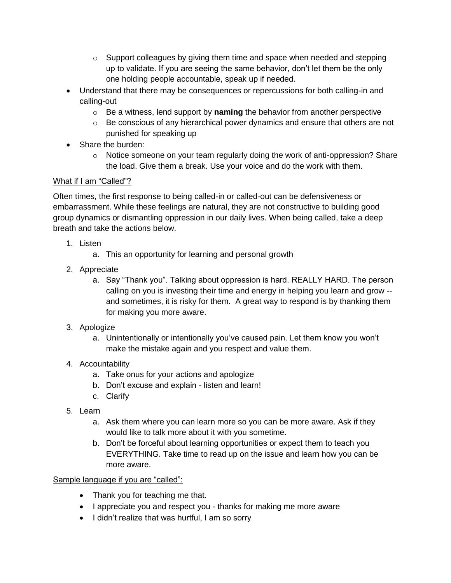- $\circ$  Support colleagues by giving them time and space when needed and stepping up to validate. If you are seeing the same behavior, don't let them be the only one holding people accountable, speak up if needed.
- Understand that there may be consequences or repercussions for both calling-in and calling-out
	- o Be a witness, lend support by **naming** the behavior from another perspective
	- $\circ$  Be conscious of any hierarchical power dynamics and ensure that others are not punished for speaking up
- Share the burden:
	- $\circ$  Notice someone on your team regularly doing the work of anti-oppression? Share the load. Give them a break. Use your voice and do the work with them.

#### What if I am "Called"?

Often times, the first response to being called-in or called-out can be defensiveness or embarrassment. While these feelings are natural, they are not constructive to building good group dynamics or dismantling oppression in our daily lives. When being called, take a deep breath and take the actions below.

- 1. Listen
	- a. This an opportunity for learning and personal growth
- 2. Appreciate
	- a. Say "Thank you". Talking about oppression is hard. REALLY HARD. The person calling on you is investing their time and energy in helping you learn and grow - and sometimes, it is risky for them. A great way to respond is by thanking them for making you more aware.
- 3. Apologize
	- a. Unintentionally or intentionally you've caused pain. Let them know you won't make the mistake again and you respect and value them.
- 4. Accountability
	- a. Take onus for your actions and apologize
	- b. Don't excuse and explain listen and learn!
	- c. Clarify
- 5. Learn
	- a. Ask them where you can learn more so you can be more aware. Ask if they would like to talk more about it with you sometime.
	- b. Don't be forceful about learning opportunities or expect them to teach you EVERYTHING. Take time to read up on the issue and learn how you can be more aware.

#### Sample language if you are "called":

- Thank you for teaching me that.
- I appreciate you and respect you thanks for making me more aware
- I didn't realize that was hurtful, I am so sorry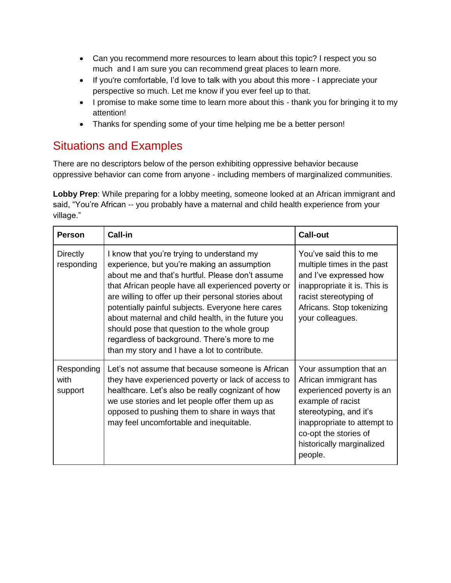- Can you recommend more resources to learn about this topic? I respect you so much and I am sure you can recommend great places to learn more.
- If you're comfortable, I'd love to talk with you about this more I appreciate your perspective so much. Let me know if you ever feel up to that.
- I promise to make some time to learn more about this thank you for bringing it to my attention!
- Thanks for spending some of your time helping me be a better person!

## Situations and Examples

There are no descriptors below of the person exhibiting oppressive behavior because oppressive behavior can come from anyone - including members of marginalized communities.

**Lobby Prep**: While preparing for a lobby meeting, someone looked at an African immigrant and said, "You're African -- you probably have a maternal and child health experience from your village."

| <b>Person</b>                 | Call-in                                                                                                                                                                                                                                                                                                                                                                                                                                                                                                                  | <b>Call-out</b>                                                                                                                                                                                                              |
|-------------------------------|--------------------------------------------------------------------------------------------------------------------------------------------------------------------------------------------------------------------------------------------------------------------------------------------------------------------------------------------------------------------------------------------------------------------------------------------------------------------------------------------------------------------------|------------------------------------------------------------------------------------------------------------------------------------------------------------------------------------------------------------------------------|
| <b>Directly</b><br>responding | I know that you're trying to understand my<br>experience, but you're making an assumption<br>about me and that's hurtful. Please don't assume<br>that African people have all experienced poverty or<br>are willing to offer up their personal stories about<br>potentially painful subjects. Everyone here cares<br>about maternal and child health, in the future you<br>should pose that question to the whole group<br>regardless of background. There's more to me<br>than my story and I have a lot to contribute. | You've said this to me<br>multiple times in the past<br>and I've expressed how<br>inappropriate it is. This is<br>racist stereotyping of<br>Africans. Stop tokenizing<br>your colleagues.                                    |
| Responding<br>with<br>support | Let's not assume that because someone is African<br>they have experienced poverty or lack of access to<br>healthcare. Let's also be really cognizant of how<br>we use stories and let people offer them up as<br>opposed to pushing them to share in ways that<br>may feel uncomfortable and inequitable.                                                                                                                                                                                                                | Your assumption that an<br>African immigrant has<br>experienced poverty is an<br>example of racist<br>stereotyping, and it's<br>inappropriate to attempt to<br>co-opt the stories of<br>historically marginalized<br>people. |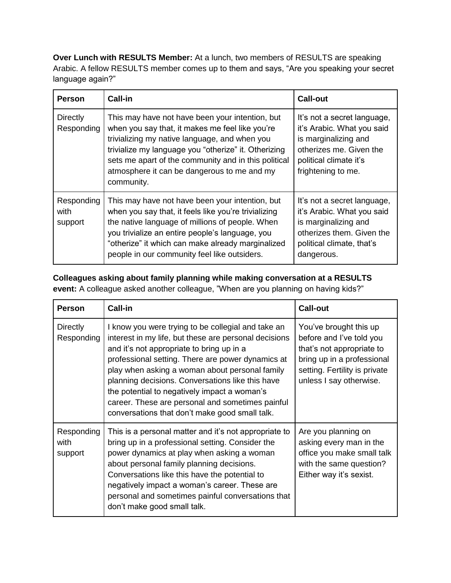**Over Lunch with RESULTS Member:** At a lunch, two members of RESULTS are speaking Arabic. A fellow RESULTS member comes up to them and says, "Are you speaking your secret language again?"

| <b>Person</b>                 | <b>Call-in</b>                                                                                                                                                                                                                                                                                                                   | <b>Call-out</b>                                                                                                                                              |
|-------------------------------|----------------------------------------------------------------------------------------------------------------------------------------------------------------------------------------------------------------------------------------------------------------------------------------------------------------------------------|--------------------------------------------------------------------------------------------------------------------------------------------------------------|
| <b>Directly</b><br>Responding | This may have not have been your intention, but<br>when you say that, it makes me feel like you're<br>trivializing my native language, and when you<br>trivialize my language you "otherize" it. Otherizing<br>sets me apart of the community and in this political<br>atmosphere it can be dangerous to me and my<br>community. | It's not a secret language,<br>it's Arabic. What you said<br>is marginalizing and<br>otherizes me. Given the<br>political climate it's<br>frightening to me. |
| Responding<br>with<br>support | This may have not have been your intention, but<br>when you say that, it feels like you're trivializing<br>the native language of millions of people. When<br>you trivialize an entire people's language, you<br>"otherize" it which can make already marginalized<br>people in our community feel like outsiders.               | It's not a secret language,<br>it's Arabic. What you said<br>is marginalizing and<br>otherizes them. Given the<br>political climate, that's<br>dangerous.    |

#### **Colleagues asking about family planning while making conversation at a RESULTS event:** A colleague asked another colleague, "When are you planning on having kids?"

| <b>Person</b>                 | Call-in                                                                                                                                                                                                                                                                                                                                                                                                                                                                   | <b>Call-out</b>                                                                                                                                                           |
|-------------------------------|---------------------------------------------------------------------------------------------------------------------------------------------------------------------------------------------------------------------------------------------------------------------------------------------------------------------------------------------------------------------------------------------------------------------------------------------------------------------------|---------------------------------------------------------------------------------------------------------------------------------------------------------------------------|
| <b>Directly</b><br>Responding | I know you were trying to be collegial and take an<br>interest in my life, but these are personal decisions<br>and it's not appropriate to bring up in a<br>professional setting. There are power dynamics at<br>play when asking a woman about personal family<br>planning decisions. Conversations like this have<br>the potential to negatively impact a woman's<br>career. These are personal and sometimes painful<br>conversations that don't make good small talk. | You've brought this up<br>before and I've told you<br>that's not appropriate to<br>bring up in a professional<br>setting. Fertility is private<br>unless I say otherwise. |
| Responding<br>with<br>support | This is a personal matter and it's not appropriate to<br>bring up in a professional setting. Consider the<br>power dynamics at play when asking a woman<br>about personal family planning decisions.<br>Conversations like this have the potential to<br>negatively impact a woman's career. These are<br>personal and sometimes painful conversations that<br>don't make good small talk.                                                                                | Are you planning on<br>asking every man in the<br>office you make small talk<br>with the same question?<br>Either way it's sexist.                                        |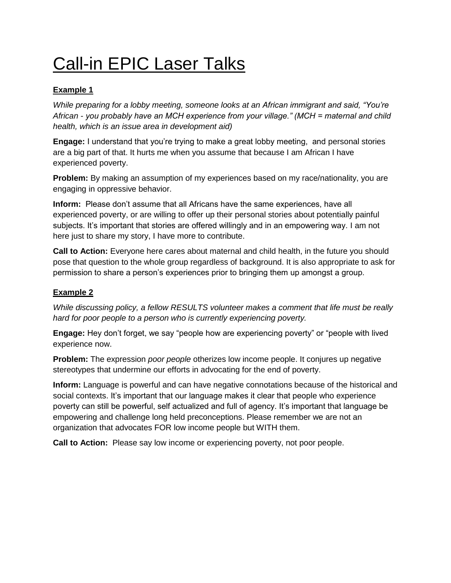# Call-in EPIC Laser Talks

#### **Example 1**

*While preparing for a lobby meeting, someone looks at an African immigrant and said, "You're African - you probably have an MCH experience from your village." (MCH = maternal and child health, which is an issue area in development aid)*

**Engage:** I understand that you're trying to make a great lobby meeting, and personal stories are a big part of that. It hurts me when you assume that because I am African I have experienced poverty.

**Problem:** By making an assumption of my experiences based on my race/nationality, you are engaging in oppressive behavior.

**Inform:** Please don't assume that all Africans have the same experiences, have all experienced poverty, or are willing to offer up their personal stories about potentially painful subjects. It's important that stories are offered willingly and in an empowering way. I am not here just to share my story, I have more to contribute.

**Call to Action:** Everyone here cares about maternal and child health, in the future you should pose that question to the whole group regardless of background. It is also appropriate to ask for permission to share a person's experiences prior to bringing them up amongst a group.

#### **Example 2**

*While discussing policy, a fellow RESULTS volunteer makes a comment that life must be really hard for poor people to a person who is currently experiencing poverty.*

**Engage:** Hey don't forget, we say "people how are experiencing poverty" or "people with lived experience now.

**Problem:** The expression *poor people* otherizes low income people. It conjures up negative stereotypes that undermine our efforts in advocating for the end of poverty.

**Inform:** Language is powerful and can have negative connotations because of the historical and social contexts. It's important that our language makes it clear that people who experience poverty can still be powerful, self actualized and full of agency. It's important that language be empowering and challenge long held preconceptions. Please remember we are not an organization that advocates FOR low income people but WITH them.

**Call to Action:** Please say low income or experiencing poverty, not poor people.